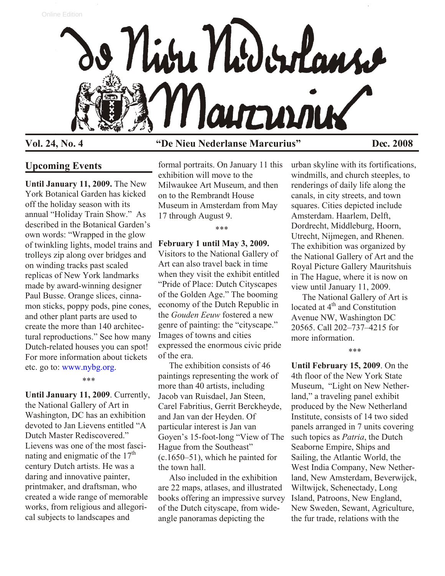

# **Vol. 24, No. 4 "De Nieu Nederlanse Marcurius" Dec. 2008**

## **Upcoming Events**

**Until January 11, 2009.** The New York Botanical Garden has kicked off the holiday season with its annual "Holiday Train Show." As described in the Botanical Garden's own words: "Wrapped in the glow of twinkling lights, model trains and trolleys zip along over bridges and on winding tracks past scaled replicas of New York landmarks made by award-winning designer Paul Busse. Orange slices, cinnamon sticks, poppy pods, pine cones, and other plant parts are used to create the more than 140 architectural reproductions." See how many Dutch-related houses you can spot! For more information about tickets etc. go to: [www.nybg.org.](http://www.nybg.org)

#### \*\*\*

**Until January 11, 2009**. Currently, the National Gallery of Art in Washington, DC has an exhibition devoted to Jan Lievens entitled "A Dutch Master Rediscovered." Lievens was one of the most fascinating and enigmatic of the  $17<sup>th</sup>$ century Dutch artists. He was a daring and innovative painter, printmaker, and draftsman, who created a wide range of memorable works, from religious and allegorical subjects to landscapes and

formal portraits. On January 11 this exhibition will move to the Milwaukee Art Museum, and then on to the Rembrandt House Museum in Amsterdam from May 17 through August 9.

\*\*\*

### **February 1 until May 3, 2009.**

Visitors to the National Gallery of Art can also travel back in time when they visit the exhibit entitled "Pride of Place: Dutch Cityscapes of the Golden Age." The booming economy of the Dutch Republic in the *Gouden Eeuw* fostered a new genre of painting: the "cityscape." Images of towns and cities expressed the enormous civic pride of the era.

 The exhibition consists of 46 paintings representing the work of more than 40 artists, including Jacob van Ruisdael, Jan Steen, Carel Fabritius, Gerrit Berckheyde, and Jan van der Heyden. Of particular interest is Jan van Goyen's 15-foot-long "View of The Hague from the Southeast" (c.1650–51), which he painted for the town hall.

 Also included in the exhibition are 22 maps, atlases, and illustrated books offering an impressive survey of the Dutch cityscape, from wideangle panoramas depicting the

urban skyline with its fortifications, windmills, and church steeples, to renderings of daily life along the canals, in city streets, and town squares. Cities depicted include Amsterdam. Haarlem, Delft, Dordrecht, Middleburg, Hoorn, Utrecht, Nijmegen, and Rhenen. The exhibition was organized by the National Gallery of Art and the Royal Picture Gallery Mauritshuis in The Hague, where it is now on view until January 11, 2009.

 The National Gallery of Art is located at 4<sup>th</sup> and Constitution Avenue NW, Washington DC 20565. Call 202–737–4215 for more information.

\*\*\*

**Until February 15, 2009**. On the 4th floor of the New York State Museum, "Light on New Netherland," a traveling panel exhibit produced by the New Netherland Institute, consists of 14 two sided panels arranged in 7 units covering such topics as *Patria*, the Dutch Seaborne Empire, Ships and Sailing, the Atlantic World, the West India Company, New Netherland, New Amsterdam, Beverwijck, Wiltwijck, Schenectady, Long Island, Patroons, New England, New Sweden, Sewant, Agriculture, the fur trade, relations with the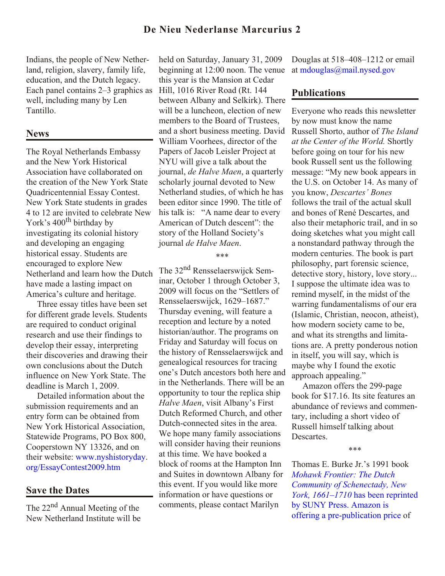Indians, the people of New Netherland, religion, slavery, family life, education, and the Dutch legacy. Each panel contains 2–3 graphics as well, including many by Len Tantillo.

# **News**

The Royal Netherlands Embassy and the New York Historical Association have collaborated on the creation of the New York State Quadricentennial Essay Contest. New York State students in grades 4 to 12 are invited to celebrate New York's 400<sup>th</sup> birthday by investigating its colonial history and developing an engaging historical essay. Students are encouraged to explore New Netherland and learn how the Dutch have made a lasting impact on America's culture and heritage.

 Three essay titles have been set for different grade levels. Students are required to conduct original research and use their findings to develop their essay, interpreting their discoveries and drawing their own conclusions about the Dutch influence on New York State. The deadline is March 1, 2009.

 Detailed information about the submission requirements and an entry form can be obtained from New York Historical Association, Statewide Programs, PO Box 800, Cooperstown NY 13326, and on [their website: www.nyshistoryday.](http://www.nyshistoryday.org/EssayContest2009.htm) org/EssayContest2009.htm

# **Save the Dates**

The 22<sup>nd</sup> Annual Meeting of the New Netherland Institute will be

held on Saturday, January 31, 2009 beginning at 12:00 noon. The venue this year is the Mansion at Cedar Hill, 1016 River Road (Rt. 144 between Albany and Selkirk). There will be a luncheon, election of new members to the Board of Trustees, and a short business meeting. David William Voorhees, director of the Papers of Jacob Leisler Project at NYU will give a talk about the journal, *de Halve Maen*, a quarterly scholarly journal devoted to New Netherland studies, of which he has been editor since 1990. The title of his talk is: "A name dear to every American of Dutch descent": the story of the Holland Society's journal *de Halve Maen*.

#### \*\*\*

The 32nd Rensselaerswijck Seminar, October 1 through October 3, 2009 will focus on the "Settlers of Rensselaerswijck, 1629–1687." Thursday evening, will feature a reception and lecture by a noted historian/author. The programs on Friday and Saturday will focus on the history of Rensselaerswijck and genealogical resources for tracing one's Dutch ancestors both here and in the Netherlands. There will be an opportunity to tour the replica ship *Halve Maen*, visit Albany's First Dutch Reformed Church, and other Dutch-connected sites in the area. We hope many family associations will consider having their reunions at this time. We have booked a block of rooms at the Hampton Inn and Suites in downtown Albany for this event. If you would like more information or have questions or comments, please contact Marilyn

Douglas at 518–408–1212 or email at [mdouglas@mail.nysed.gov](mailto:mdouglas@mail.nysed.gov)

# **Publications**

Everyone who reads this newsletter by now must know the name Russell Shorto, author of *The Island at the Center of the World.* Shortly before going on tour for his new book Russell sent us the following message: "My new book appears in the U.S. on October 14. As many of you know, *Descartes' Bones* follows the trail of the actual skull and bones of René Descartes, and also their metaphoric trail, and in so doing sketches what you might call a nonstandard pathway through the modern centuries. The book is part philosophy, part forensic science, detective story, history, love story... I suppose the ultimate idea was to remind myself, in the midst of the warring fundamentalisms of our era (Islamic, Christian, neocon, atheist), how modern society came to be, and what its strengths and limitations are. A pretty ponderous notion in itself, you will say, which is maybe why I found the exotic approach appealing."

 Amazon offers the 299-page book for \$17.16. Its site features an abundance of reviews and commentary, including a short video of Russell himself talking about Descartes.

#### \*\*\*

Thomas E. Burke Jr.'s 1991 book *Mohawk Frontier: The Dutch Community of Schenectady, New York, 1661–1710* has been reprinted by SUNY Press. Amazon is [offering a pre-publication price of](http://www.nnp.org/booksandmore.html#mohawk)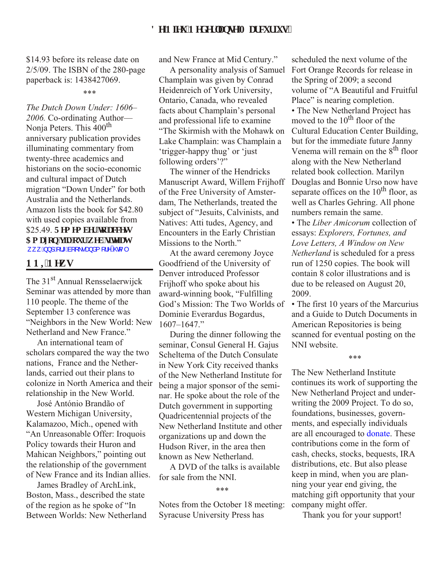\$14.93 before its release date on 2/5/09. The ISBN of the 280-page paperback is: 1438427069.

#### \*\*\*

*The Dutch Down Under: 1606– 2006.* Co-ordinating Author— Nonja Peters. This 400<sup>th</sup> anniversary publication provides illuminating commentary from twenty-three academics and historians on the socio-economic and cultural impact of Dutch migration "Down Under" for both Australia and the Netherlands. Amazon lists the book for \$42.80 with used copies available from \$25.49. **Tgo go dgt 'tq' ceguu** Co c qp'xk'qwt'v gd'ilsg'cv [ZZZQQSRUJERRNVDQGPRUHKWPO](http://www.nnp.org/booksandmore.html)

## **PPKP**gy<sub>u</sub>

The 31st Annual Rensselaerwijck Seminar was attended by more than 110 people. The theme of the September 13 conference was "Neighbors in the New World: New Netherland and New France."

 An international team of scholars compared the way the two nations, France and the Netherlands, carried out their plans to colonize in North America and their relationship in the New World.

 José António Brandão of Western Michigan University, Kalamazoo, Mich., opened with "An Unreasonable Offer: Iroquois Policy towards their Huron and Mahican Neighbors," pointing out the relationship of the government of New France and its Indian allies.

 James Bradley of ArchLink, Boston, Mass., described the state of the region as he spoke of "In Between Worlds: New Netherland and New France at Mid Century."

 A personality analysis of Samuel Champlain was given by Conrad Heidenreich of York University, Ontario, Canada, who revealed facts about Champlain's personal and professional life to examine "The Skirmish with the Mohawk on Lake Champlain: was Champlain a 'trigger-happy thug' or 'just following orders'?"

 The winner of the Hendricks Manuscript Award, Willem Frijhoff of the Free University of Amsterdam, The Netherlands, treated the subject of "Jesuits, Calvinists, and Natives: Atti tudes, Agency, and Encounters in the Early Christian Missions to the North."

 At the award ceremony Joyce Goodfriend of the University of Denver introduced Professor Frijhoff who spoke about his award-winning book, "Fulfilling God's Mission: The Two Worlds of Dominie Everardus Bogardus, 1607–1647."

 During the dinner following the seminar, Consul General H. Gajus Scheltema of the Dutch Consulate in New York City received thanks of the New Netherland Institute for being a major sponsor of the seminar. He spoke about the role of the Dutch government in supporting Quadricentennial projects of the New Netherland Institute and other organizations up and down the Hudson River, in the area then known as New Netherland.

 A DVD of the talks is available for sale from the NNI.

#### \*\*\*

Notes from the October 18 meeting: Syracuse University Press has

scheduled the next volume of the Fort Orange Records for release in the Spring of 2009; a second volume of "A Beautiful and Fruitful Place" is nearing completion.

• The New Netherland Project has moved to the 10<sup>th</sup> floor of the Cultural Education Center Building, but for the immediate future Janny Venema will remain on the 8<sup>th</sup> floor along with the New Netherland related book collection. Marilyn Douglas and Bonnie Urso now have separate offices on the  $10<sup>th</sup>$  floor, as well as Charles Gehring. All phone numbers remain the same.

• The *Liber Amicorum* collection of essays: *Explorers, Fortunes, and Love Letters, A Window on New Netherland* is scheduled for a press run of 1250 copies. The book will contain 8 color illustrations and is due to be released on August 20, 2009.

• The first 10 years of the Marcurius and a Guide to Dutch Documents in American Repositories is being scanned for eventual posting on the NNI website.

#### \*\*\*

The New Netherland Institute continues its work of supporting the New Netherland Project and underwriting the 2009 Project. To do so, foundations, businesses, governments, and especially individuals are all encouraged to [donate.](http://www.nnp.org/donate2009/index.html) These contributions come in the form of cash, checks, stocks, bequests, IRA distributions, etc. But also please keep in mind, when you are planning your year end giving, the matching gift opportunity that your company might offer.

Thank you for your support!